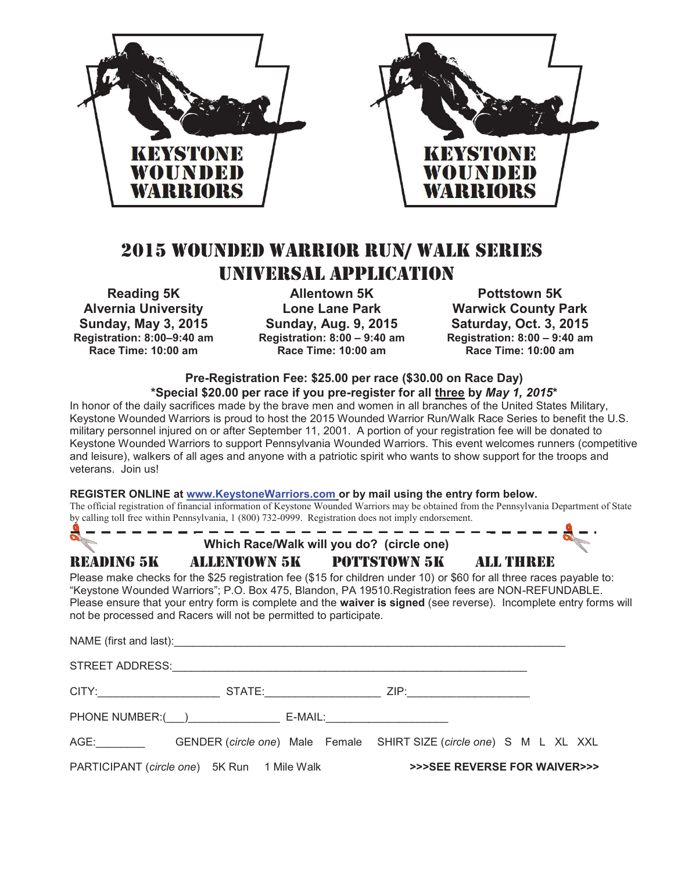

## 2015 WOUNDED WARRIOR RUN/ WALK SERIES UNIVERSAL APPLICATION

**Reading 5K Alvernia University Sunday, May 3, 2015 Registration: 8:00–9:40 am Race Time: 10:00 am** 

**Allentown 5K Lone Lane Park Sunday, Aug. 9, 2015 Registration: 8:00 – 9:40 am Race Time: 10:00 am** 

**Pottstown 5K Warwick County Park Saturday, Oct. 3, 2015 Registration: 8:00 – 9:40 am Race Time: 10:00 am** 

## **Pre-Registration Fee: \$25.00 per race (\$30.00 on Race Day) \*Special \$20.00 per race if you pre-register for all three by** *May 1, 2015***\***

In honor of the daily sacrifices made by the brave men and women in all branches of the United States Military, Keystone Wounded Warriors is proud to host the 2015 Wounded Warrior Run/Walk Race Series to benefit the U.S. military personnel injured on or after September 11, 2001. A portion of your registration fee will be donated to Keystone Wounded Warriors to support Pennsylvania Wounded Warriors. This event welcomes runners (competitive and leisure), walkers of all ages and anyone with a patriotic spirit who wants to show support for the troops and veterans. Join us!

## **REGISTER ONLINE at www.KeystoneWarriors.com or by mail using the entry form below.**

The official registration of financial information of Keystone Wounded Warriors may be obtained from the Pennsylvania Department of State by calling toll free within Pennsylvania, 1 (800) 732-0999. Registration does not imply endorsement.

| <b>RE</b>              | Which Race/Walk will you do? (circle one)                                                                                                                                                                                                                                                                                                                                                                               |  |  |  |  |
|------------------------|-------------------------------------------------------------------------------------------------------------------------------------------------------------------------------------------------------------------------------------------------------------------------------------------------------------------------------------------------------------------------------------------------------------------------|--|--|--|--|
|                        | READING 5K        ALLENTOWN 5K        POTTSTOWN 5K        ALL THREE                                                                                                                                                                                                                                                                                                                                                     |  |  |  |  |
|                        | Please make checks for the \$25 registration fee (\$15 for children under 10) or \$60 for all three races payable to:<br>"Keystone Wounded Warriors"; P.O. Box 475, Blandon, PA 19510. Registration fees are NON-REFUNDABLE.<br>Please ensure that your entry form is complete and the waiver is signed (see reverse). Incomplete entry forms will<br>not be processed and Racers will not be permitted to participate. |  |  |  |  |
|                        |                                                                                                                                                                                                                                                                                                                                                                                                                         |  |  |  |  |
| STREET ADDRESS:        |                                                                                                                                                                                                                                                                                                                                                                                                                         |  |  |  |  |
|                        | CITY: STATE: STATE: ZIP:                                                                                                                                                                                                                                                                                                                                                                                                |  |  |  |  |
|                        |                                                                                                                                                                                                                                                                                                                                                                                                                         |  |  |  |  |
| AGE: Andrew March 1997 | GENDER (circle one) Male Female SHIRT SIZE (circle one) S M L XL XXL                                                                                                                                                                                                                                                                                                                                                    |  |  |  |  |

PARTICIPANT (*circle one*) 5K Run 1 Mile Walk **>>>SEE REVERSE FOR WAIVER>>>**